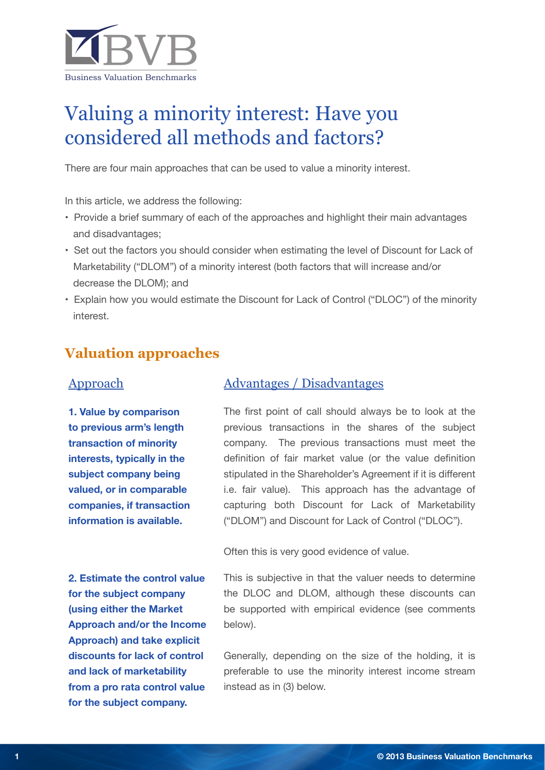

# Valuing a minority interest: Have you considered all methods and factors?

There are four main approaches that can be used to value a minority interest.

In this article, we address the following:

- Provide a brief summary of each of the approaches and highlight their main advantages and disadvantages;
- . Set out the factors you should consider when estimating the level of Discount for Lack of Marketability ("DLOM") of a minority interest (both factors that will increase and/or decrease the DLOM); and
- Explain how you would estimate the Discount for Lack of Control ("DLOC") of the minority interest.

## **Valuation approaches**

**1. Value by comparison to previous arm's length transaction of minority interests, typically in the subject company being valued, or in comparable companies, if transaction information is available.** 

#### Approach Advantages / Disadvantages

The first point of call should always be to look at the previous transactions in the shares of the subject company. The previous transactions must meet the definition of fair market value (or the value definition stipulated in the Shareholder's Agreement if it is different i.e. fair value). This approach has the advantage of capturing both Discount for Lack of Marketability ("DLOM") and Discount for Lack of Control ("DLOC").

Often this is very good evidence of value.

**2. Estimate the control value for the subject company (using either the Market Approach and/or the Income Approach) and take explicit discounts for lack of control and lack of marketability from a pro rata control value for the subject company.**

This is subjective in that the valuer needs to determine the DLOC and DLOM, although these discounts can be supported with empirical evidence (see comments below).

Generally, depending on the size of the holding, it is preferable to use the minority interest income stream instead as in (3) below.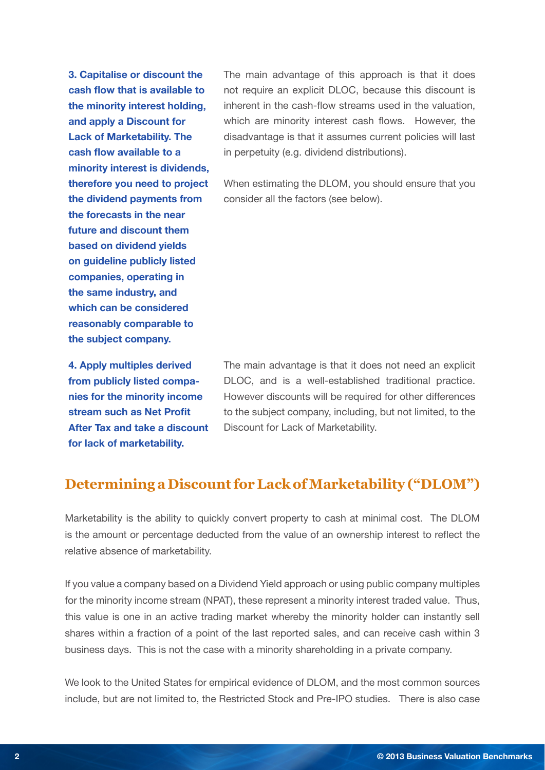**3. Capitalise or discount the cash flow that is available to the minority interest holding, and apply a Discount for Lack of Marketability. The**  cash flow available to a **minority interest is dividends, therefore you need to project the dividend payments from the forecasts in the near future and discount them based on dividend yields on guideline publicly listed companies, operating in the same industry, and**  which can be considered **reasonably comparable to the subject company.**

**4. Apply multiples derived from publicly listed companies for the minority income**  stream such as Net Profit **After Tax and take a discount for lack of marketability.**

The main advantage of this approach is that it does not require an explicit DLOC, because this discount is inherent in the cash-flow streams used in the valuation, which are minority interest cash flows. However, the disadvantage is that it assumes current policies will last in perpetuity (e.g. dividend distributions).

When estimating the DLOM, you should ensure that you consider all the factors (see below).

The main advantage is that it does not need an explicit DLOC, and is a well-established traditional practice. However discounts will be required for other differences to the subject company, including, but not limited, to the Discount for Lack of Marketability.

#### **Determining a Discount for Lack of Marketability ("DLOM")**

Marketability is the ability to quickly convert property to cash at minimal cost. The DLOM is the amount or percentage deducted from the value of an ownership interest to reflect the relative absence of marketability.

If you value a company based on a Dividend Yield approach or using public company multiples for the minority income stream (NPAT), these represent a minority interest traded value. Thus, this value is one in an active trading market whereby the minority holder can instantly sell shares within a fraction of a point of the last reported sales, and can receive cash within 3 business days. This is not the case with a minority shareholding in a private company.

We look to the United States for empirical evidence of DLOM, and the most common sources include, but are not limited to, the Restricted Stock and Pre-IPO studies. There is also case